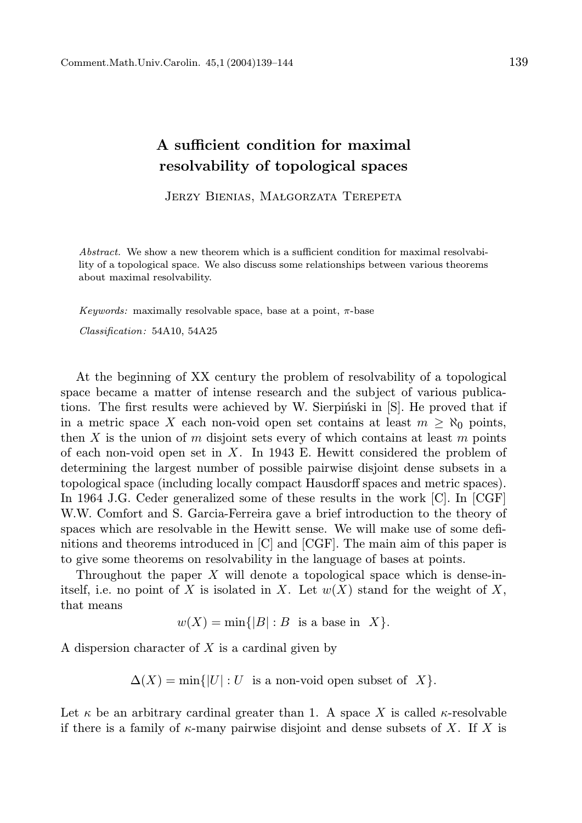## A sufficient condition for maximal resolvability of topological spaces

JERZY BIENIAS, MAŁGORZATA TEREPETA

Abstract. We show a new theorem which is a sufficient condition for maximal resolvability of a topological space. We also discuss some relationships between various theorems about maximal resolvability.

Keywords: maximally resolvable space, base at a point,  $\pi$ -base

Classification: 54A10, 54A25

At the beginning of XX century the problem of resolvability of a topological space became a matter of intense research and the subject of various publications. The first results were achieved by W. Sierpiński in [S]. He proved that if in a metric space X each non-void open set contains at least  $m \geq \aleph_0$  points, then X is the union of m disjoint sets every of which contains at least m points of each non-void open set in  $X$ . In 1943 E. Hewitt considered the problem of determining the largest number of possible pairwise disjoint dense subsets in a topological space (including locally compact Hausdorff spaces and metric spaces). In 1964 J.G. Ceder generalized some of these results in the work [C]. In [CGF] W.W. Comfort and S. Garcia-Ferreira gave a brief introduction to the theory of spaces which are resolvable in the Hewitt sense. We will make use of some definitions and theorems introduced in [C] and [CGF]. The main aim of this paper is to give some theorems on resolvability in the language of bases at points.

Throughout the paper  $X$  will denote a topological space which is dense-initself, i.e. no point of X is isolated in X. Let  $w(X)$  stand for the weight of X, that means

 $w(X) = \min\{|B| : B$  is a base in X.

A dispersion character of  $X$  is a cardinal given by

 $\Delta(X) = \min\{|U| : U$  is a non-void open subset of X.

Let  $\kappa$  be an arbitrary cardinal greater than 1. A space X is called  $\kappa$ -resolvable if there is a family of  $\kappa$ -many pairwise disjoint and dense subsets of X. If X is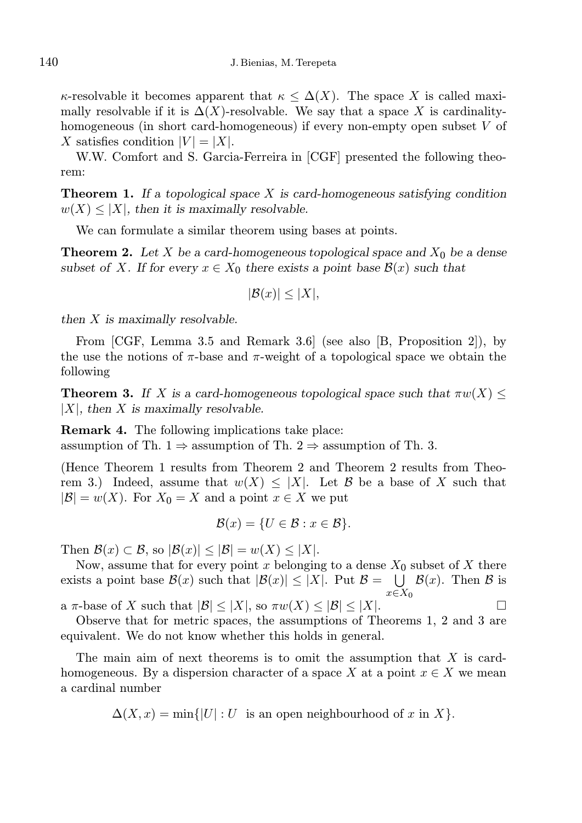$\kappa$ -resolvable it becomes apparent that  $\kappa \leq \Delta(X)$ . The space X is called maximally resolvable if it is  $\Delta(X)$ -resolvable. We say that a space X is cardinalityhomogeneous (in short card-homogeneous) if every non-empty open subset V of X satisfies condition  $|V| = |X|$ .

W.W. Comfort and S. Garcia-Ferreira in [CGF] presented the following theorem:

**Theorem 1.** If a topological space X is card-homogeneous satisfying condition  $w(X) \leq |X|$ , then it is maximally resolvable.

We can formulate a similar theorem using bases at points.

**Theorem 2.** Let X be a card-homogeneous topological space and  $X_0$  be a dense subset of X. If for every  $x \in X_0$  there exists a point base  $\mathcal{B}(x)$  such that

$$
|\mathcal{B}(x)| \le |X|,
$$

then X is maximally resolvable.

From [CGF, Lemma 3.5 and Remark 3.6] (see also [B, Proposition 2]), by the use the notions of  $\pi$ -base and  $\pi$ -weight of a topological space we obtain the following

**Theorem 3.** If X is a card-homogeneous topological space such that  $\pi w(X) \leq$  $|X|$ , then X is maximally resolvable.

Remark 4. The following implications take place: assumption of Th. 1  $\Rightarrow$  assumption of Th. 2  $\Rightarrow$  assumption of Th. 3.

(Hence Theorem 1 results from Theorem 2 and Theorem 2 results from Theorem 3.) Indeed, assume that  $w(X) \leq |X|$ . Let B be a base of X such that  $|\mathcal{B}| = w(X)$ . For  $X_0 = X$  and a point  $x \in X$  we put

$$
\mathcal{B}(x) = \{U \in \mathcal{B} : x \in \mathcal{B}\}.
$$

Then  $\mathcal{B}(x) \subset \mathcal{B}$ , so  $|\mathcal{B}(x)| \leq |\mathcal{B}| = w(X) \leq |X|$ .

Now, assume that for every point x belonging to a dense  $X_0$  subset of X there exists a point base  $\mathcal{B}(x)$  such that  $|\mathcal{B}(x)| \leq |X|$ . Put  $\mathcal{B} = \bigcup \mathcal{B}(x)$ . Then  $\mathcal{B}$  is  $x\bar{\in}X_0$ a  $\pi$ -base of X such that  $|\mathcal{B}| \leq |X|$ , so  $\pi w(X) \leq |\mathcal{B}| \leq |X|$ .

Observe that for metric spaces, the assumptions of Theorems 1, 2 and 3 are equivalent. We do not know whether this holds in general.

The main aim of next theorems is to omit the assumption that  $X$  is cardhomogeneous. By a dispersion character of a space X at a point  $x \in X$  we mean a cardinal number

 $\Delta(X, x) = \min\{|U| : U$  is an open neighbourhood of x in X.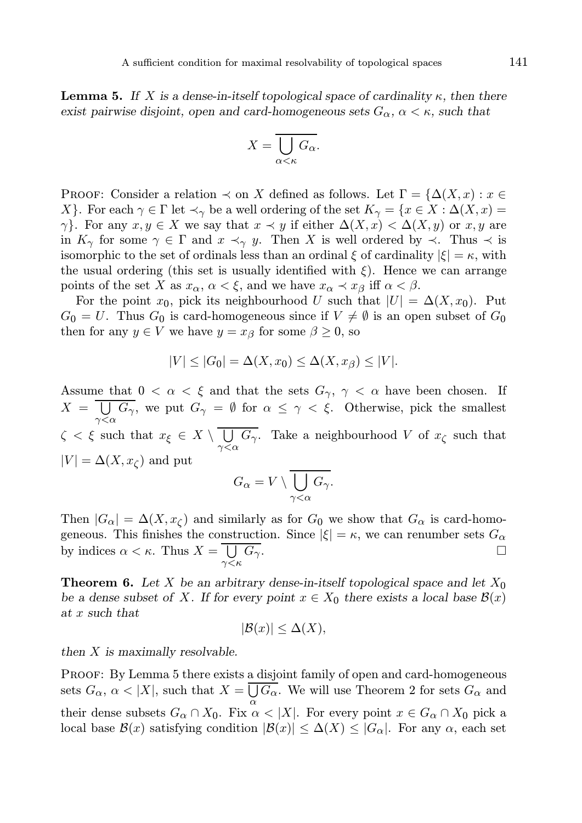**Lemma 5.** If X is a dense-in-itself topological space of cardinality  $\kappa$ , then there exist pairwise disjoint, open and card-homogeneous sets  $G_{\alpha}$ ,  $\alpha < \kappa$ , such that

$$
X = \overline{\bigcup_{\alpha < \kappa} G_{\alpha}}.
$$

PROOF: Consider a relation  $\prec$  on X defined as follows. Let  $\Gamma = \{\Delta(X, x) : x \in$ X}. For each  $\gamma \in \Gamma$  let  $\prec_{\gamma}$  be a well ordering of the set  $K_{\gamma} = \{x \in X : \Delta(X, x) =$  $\gamma$ }. For any  $x, y \in X$  we say that  $x \prec y$  if either  $\Delta(X, x) < \Delta(X, y)$  or  $x, y$  are in  $K_{\gamma}$  for some  $\gamma \in \Gamma$  and  $x \prec_{\gamma} y$ . Then X is well ordered by  $\prec$ . Thus  $\prec$  is isomorphic to the set of ordinals less than an ordinal  $\xi$  of cardinality  $|\xi| = \kappa$ , with the usual ordering (this set is usually identified with  $\xi$ ). Hence we can arrange points of the set X as  $x_{\alpha}$ ,  $\alpha < \xi$ , and we have  $x_{\alpha} \prec x_{\beta}$  iff  $\alpha < \beta$ .

For the point  $x_0$ , pick its neighbourhood U such that  $|U| = \Delta(X, x_0)$ . Put  $G_0 = U$ . Thus  $G_0$  is card-homogeneous since if  $V \neq \emptyset$  is an open subset of  $G_0$ then for any  $y \in V$  we have  $y = x_{\beta}$  for some  $\beta \geq 0$ , so

$$
|V| \le |G_0| = \Delta(X, x_0) \le \Delta(X, x_\beta) \le |V|.
$$

Assume that  $0 < \alpha < \xi$  and that the sets  $G_{\gamma}$ ,  $\gamma < \alpha$  have been chosen. If  $X = \bigcup_{\gamma < \alpha} G_{\gamma}$ , we put  $G_{\gamma} = \emptyset$  for  $\alpha \leq \gamma < \xi$ . Otherwise, pick the smallest  $\zeta < \xi$  such that  $x_{\xi} \in X \setminus \bigcup_{\gamma < \alpha} G_{\gamma}$ . Take a neighbourhood V of  $x_{\zeta}$  such that  $|V| = \Delta(X, x_{\zeta})$  and put

$$
G_{\alpha} = V \setminus \bigcup_{\gamma < \alpha} G_{\gamma}.
$$

Then  $|G_{\alpha}| = \Delta(X, x_{\zeta})$  and similarly as for  $G_0$  we show that  $G_{\alpha}$  is card-homogeneous. This finishes the construction. Since  $|\xi| = \kappa$ , we can renumber sets  $G_{\alpha}$ by indices  $\alpha < \kappa$ . Thus  $X = \bigcup_{\gamma < \kappa}$  $\overline{G_{\gamma}}$ .

**Theorem 6.** Let X be an arbitrary dense-in-itself topological space and let  $X_0$ be a dense subset of X. If for every point  $x \in X_0$  there exists a local base  $\mathcal{B}(x)$ at x such that

$$
|\mathcal{B}(x)| \leq \Delta(X),
$$

then X is maximally resolvable.

Proof: By Lemma 5 there exists a disjoint family of open and card-homogeneous sets  $G_{\alpha}$ ,  $\alpha$  < |X|, such that  $X = \bigcup G_{\alpha}$ . We will use Theorem 2 for sets  $G_{\alpha}$  and their dense subsets  $G_{\alpha} \cap X_0$ . Fix  $\alpha < |X|$ . For every point  $x \in G_{\alpha} \cap X_0$  pick a local base  $\mathcal{B}(x)$  satisfying condition  $|\mathcal{B}(x)| \leq \Delta(X) \leq |G_{\alpha}|$ . For any  $\alpha$ , each set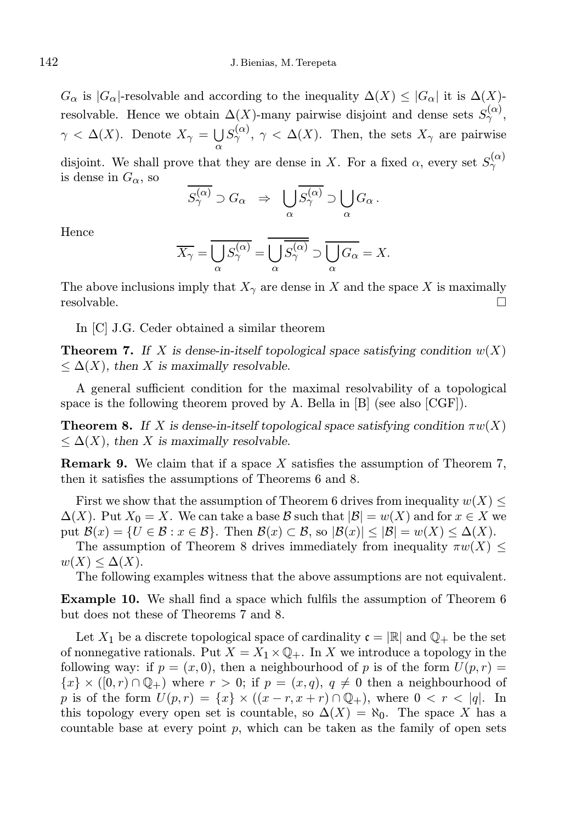$G_{\alpha}$  is  $|G_{\alpha}|$ -resolvable and according to the inequality  $\Delta(X) \leq |G_{\alpha}|$  it is  $\Delta(X)$ resolvable. Hence we obtain  $\Delta(X)$ -many pairwise disjoint and dense sets  $S_{\gamma}^{(\alpha)}$ ,  $\gamma < \Delta(X)$ . Denote  $X_{\gamma} = \bigcup_{\alpha} S_{\gamma}^{(\alpha)}$ ,  $\gamma < \Delta(X)$ . Then, the sets  $X_{\gamma}$  are pairwise

disjoint. We shall prove that they are dense in X. For a fixed  $\alpha$ , every set  $S_{\gamma}^{(\alpha)}$ is dense in  $G_{\alpha}$ , so

$$
\overline{S_{\gamma}^{(\alpha)}} \supset G_{\alpha} \Rightarrow \bigcup_{\alpha} \overline{S_{\gamma}^{(\alpha)}} \supset \bigcup_{\alpha} G_{\alpha}.
$$

Hence

$$
\overline{X_{\gamma}} = \overline{\bigcup_{\alpha} S_{\gamma}^{(\alpha)}} = \overline{\bigcup_{\alpha} \overline{S_{\gamma}^{(\alpha)}}} \supset \overline{\bigcup_{\alpha} G_{\alpha}} = X.
$$

The above inclusions imply that  $X_{\gamma}$  are dense in X and the space X is maximally resolvable. □

In [C] J.G. Ceder obtained a similar theorem

**Theorem 7.** If X is dense-in-itself topological space satisfying condition  $w(X)$  $\leq \Delta(X)$ , then X is maximally resolvable.

A general sufficient condition for the maximal resolvability of a topological space is the following theorem proved by A. Bella in [B] (see also [CGF]).

**Theorem 8.** If X is dense-in-itself topological space satisfying condition  $\pi w(X)$  $\leq \Delta(X)$ , then X is maximally resolvable.

**Remark 9.** We claim that if a space X satisfies the assumption of Theorem 7, then it satisfies the assumptions of Theorems 6 and 8.

First we show that the assumption of Theorem 6 drives from inequality  $w(X) \leq$  $\Delta(X)$ . Put  $X_0 = X$ . We can take a base B such that  $|\mathcal{B}| = w(X)$  and for  $x \in X$  we put  $\mathcal{B}(x) = \{U \in \mathcal{B} : x \in \mathcal{B}\}\$ . Then  $\mathcal{B}(x) \subset \mathcal{B}$ , so  $|\mathcal{B}(x)| \leq |\mathcal{B}| = w(X) \leq \Delta(X)$ .

The assumption of Theorem 8 drives immediately from inequality  $\pi w(X) \leq$  $w(X) \leq \Delta(X)$ .

The following examples witness that the above assumptions are not equivalent.

Example 10. We shall find a space which fulfils the assumption of Theorem 6 but does not these of Theorems 7 and 8.

Let  $X_1$  be a discrete topological space of cardinality  $\mathfrak{c} = \mathbb{R}$  and  $\mathbb{Q}_+$  be the set of nonnegative rationals. Put  $X = X_1 \times \mathbb{Q}_+$ . In X we introduce a topology in the following way: if  $p = (x, 0)$ , then a neighbourhood of p is of the form  $U(p, r) =$  ${x} \times (0, r) \cap \mathbb{Q}_+$  where  $r > 0$ ; if  $p = (x, q), q \neq 0$  then a neighbourhood of p is of the form  $U(p,r) = \{x\} \times ((x-r, x+r) \cap \mathbb{Q}_+),$  where  $0 < r < |q|$ . In this topology every open set is countable, so  $\Delta(X) = \aleph_0$ . The space X has a countable base at every point  $p$ , which can be taken as the family of open sets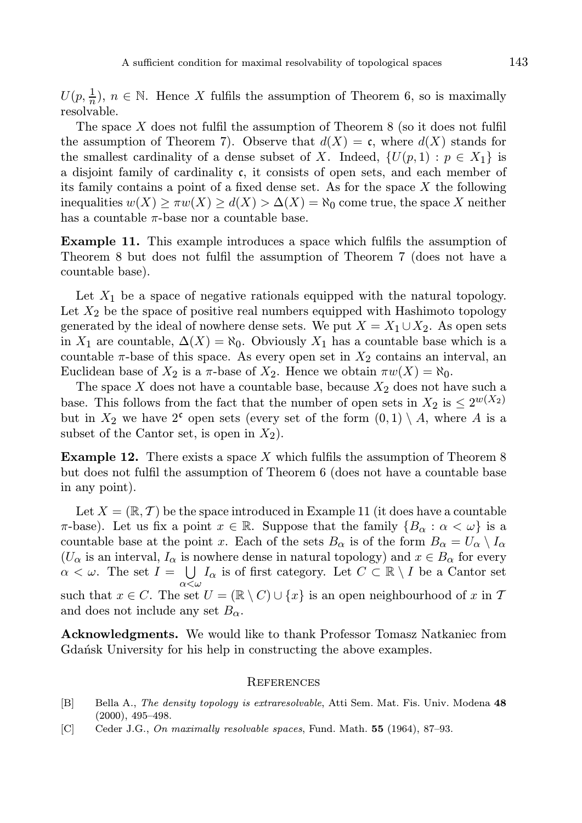$U(p, \frac{1}{n}), n \in \mathbb{N}$ . Hence X fulfils the assumption of Theorem 6, so is maximally resolvable.

The space  $X$  does not fulfil the assumption of Theorem 8 (so it does not fulfil the assumption of Theorem 7). Observe that  $d(X) = \mathfrak{c}$ , where  $d(X)$  stands for the smallest cardinality of a dense subset of X. Indeed,  $\{U(p, 1) : p \in X_1\}$  is a disjoint family of cardinality c, it consists of open sets, and each member of its family contains a point of a fixed dense set. As for the space  $X$  the following inequalities  $w(X) \geq \pi w(X) \geq d(X) > \Delta(X) = \aleph_0$  come true, the space X neither has a countable  $\pi$ -base nor a countable base.

Example 11. This example introduces a space which fulfils the assumption of Theorem 8 but does not fulfil the assumption of Theorem 7 (does not have a countable base).

Let  $X_1$  be a space of negative rationals equipped with the natural topology. Let  $X_2$  be the space of positive real numbers equipped with Hashimoto topology generated by the ideal of nowhere dense sets. We put  $X = X_1 \cup X_2$ . As open sets in  $X_1$  are countable,  $\Delta(X) = \aleph_0$ . Obviously  $X_1$  has a countable base which is a countable  $\pi$ -base of this space. As every open set in  $X_2$  contains an interval, an Euclidean base of  $X_2$  is a  $\pi$ -base of  $X_2$ . Hence we obtain  $\pi w(X) = \aleph_0$ .

The space  $X$  does not have a countable base, because  $X_2$  does not have such a base. This follows from the fact that the number of open sets in  $X_2$  is  $\leq 2^{w(X_2)}$ but in  $X_2$  we have 2<sup>c</sup> open sets (every set of the form  $(0, 1) \setminus A$ , where A is a subset of the Cantor set, is open in  $X_2$ ).

**Example 12.** There exists a space X which fulfils the assumption of Theorem 8 but does not fulfil the assumption of Theorem 6 (does not have a countable base in any point).

Let  $X = (\mathbb{R}, \mathcal{T})$  be the space introduced in Example 11 (it does have a countable  $\pi$ -base). Let us fix a point  $x \in \mathbb{R}$ . Suppose that the family  $\{B_{\alpha} : \alpha < \omega\}$  is a countable base at the point x. Each of the sets  $B_{\alpha}$  is of the form  $B_{\alpha} = U_{\alpha} \setminus I_{\alpha}$  $(U_\alpha$  is an interval,  $I_\alpha$  is nowhere dense in natural topology) and  $x \in B_\alpha$  for every  $\alpha < \omega$ . The set  $I = \bigcup I_{\alpha}$  is of first category. Let  $C \subset \mathbb{R} \setminus I$  be a Cantor set  $\alpha \leq \omega$ such that  $x \in C$ . The set  $U = (\mathbb{R} \setminus C) \cup \{x\}$  is an open neighbourhood of x in T and does not include any set  $B_{\alpha}$ .

Acknowledgments. We would like to thank Professor Tomasz Natkaniec from Gdan'sk University for his help in constructing the above examples.

## **REFERENCES**

- [B] Bella A., The density topology is extraresolvable, Atti Sem. Mat. Fis. Univ. Modena 48 (2000), 495–498.
- [C] Ceder J.G., On maximally resolvable spaces, Fund. Math. 55 (1964), 87-93.